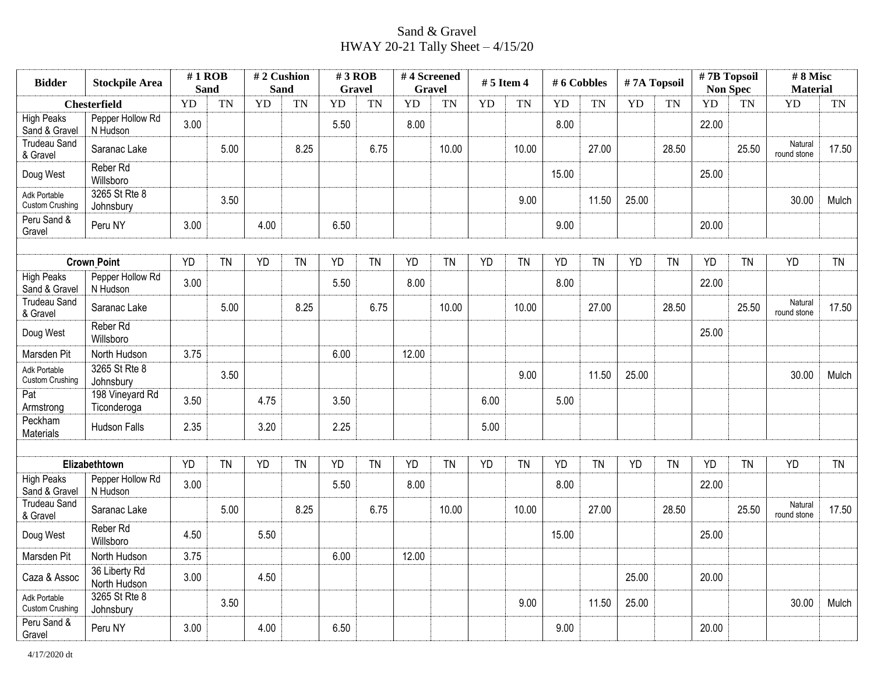## Sand & Gravel HWAY 20-21 Tally Sheet – 4/15/20

| <b>Bidder</b>                          | <b>Stockpile Area</b>          |           | $#1$ ROB<br><b>Sand</b> |           | #2 Cushion<br><b>Sand</b> | $#3$ ROB<br>Gravel |           | #4 Screened<br><b>Gravel</b> |           | $# 5$ Item 4 |           | # 6 Cobbles |           | #7A Topsoil |           | #7B Topsoil<br><b>Non Spec</b> |           | #8 Misc<br><b>Material</b> |           |
|----------------------------------------|--------------------------------|-----------|-------------------------|-----------|---------------------------|--------------------|-----------|------------------------------|-----------|--------------|-----------|-------------|-----------|-------------|-----------|--------------------------------|-----------|----------------------------|-----------|
|                                        | <b>Chesterfield</b>            | <b>YD</b> | <b>TN</b>               | <b>YD</b> | <b>TN</b>                 | <b>YD</b>          | <b>TN</b> | <b>YD</b>                    | <b>TN</b> | YD           | <b>TN</b> | <b>YD</b>   | <b>TN</b> | YD          | <b>TN</b> | <b>YD</b>                      | TN        | <b>YD</b>                  | TN        |
| <b>High Peaks</b><br>Sand & Gravel     | Pepper Hollow Rd<br>N Hudson   | 3.00      |                         |           |                           | 5.50               |           | 8.00                         |           |              |           | 8.00        |           |             |           | 22.00                          |           |                            |           |
| <b>Trudeau Sand</b><br>& Gravel        | Saranac Lake                   |           | 5.00                    |           | 8.25                      |                    | 6.75      |                              | 10.00     |              | 10.00     |             | 27.00     |             | 28.50     |                                | 25.50     | Natural<br>round stone     | 17.50     |
| Doug West                              | Reber Rd<br>Willsboro          |           |                         |           |                           |                    |           |                              |           |              |           | 15.00       |           |             |           | 25.00                          |           |                            |           |
| Adk Portable<br><b>Custom Crushing</b> | 3265 St Rte 8<br>Johnsbury     |           | 3.50                    |           |                           |                    |           |                              |           |              | 9.00      |             | 11.50     | 25.00       |           |                                |           | 30.00                      | Mulch     |
| Peru Sand &<br>Gravel                  | Peru NY                        | 3.00      |                         | 4.00      |                           | 6.50               |           |                              |           |              |           | 9.00        |           |             |           | 20.00                          |           |                            |           |
|                                        |                                |           |                         |           |                           |                    |           |                              |           |              |           |             |           |             |           |                                |           |                            |           |
|                                        | <b>Crown Point</b>             | <b>YD</b> | <b>TN</b>               | <b>YD</b> | TN                        | <b>YD</b>          | <b>TN</b> | <b>YD</b>                    | <b>TN</b> | <b>YD</b>    | <b>TN</b> | <b>YD</b>   | <b>TN</b> | <b>YD</b>   | <b>TN</b> | <b>YD</b>                      | <b>TN</b> | <b>YD</b>                  | <b>TN</b> |
| <b>High Peaks</b><br>Sand & Gravel     | Pepper Hollow Rd<br>N Hudson   | 3.00      |                         |           |                           | 5.50               |           | 8.00                         |           |              |           | 8.00        |           |             |           | 22.00                          |           |                            |           |
| Trudeau Sand<br>& Gravel               | Saranac Lake                   |           | 5.00                    |           | 8.25                      |                    | 6.75      |                              | 10.00     |              | 10.00     |             | 27.00     |             | 28.50     |                                | 25.50     | Natural<br>round stone     | 17.50     |
| Doug West                              | Reber Rd<br>Willsboro          |           |                         |           |                           |                    |           |                              |           |              |           |             |           |             |           | 25.00                          |           |                            |           |
| Marsden Pit                            | North Hudson                   | 3.75      |                         |           |                           | 6.00               |           | 12.00                        |           |              |           |             |           |             |           |                                |           |                            |           |
| Adk Portable<br>Custom Crushing        | 3265 St Rte 8<br>Johnsbury     |           | 3.50                    |           |                           |                    |           |                              |           |              | 9.00      |             | 11.50     | 25.00       |           |                                |           | 30.00                      | Mulch     |
| Pat<br>Armstrong                       | 198 Vineyard Rd<br>Ticonderoga | 3.50      |                         | 4.75      |                           | 3.50               |           |                              |           | 6.00         |           | 5.00        |           |             |           |                                |           |                            |           |
| Peckham<br>Materials                   | Hudson Falls                   | 2.35      |                         | 3.20      |                           | 2.25               |           |                              |           | 5.00         |           |             |           |             |           |                                |           |                            |           |
|                                        |                                |           |                         |           |                           |                    |           |                              |           |              |           |             |           |             |           |                                |           |                            |           |
|                                        | Elizabethtown                  | <b>YD</b> | <b>TN</b>               | <b>YD</b> | <b>TN</b>                 | <b>YD</b>          | <b>TN</b> | <b>YD</b>                    | <b>TN</b> | <b>YD</b>    | <b>TN</b> | <b>YD</b>   | <b>TN</b> | <b>YD</b>   | <b>TN</b> | <b>YD</b>                      | <b>TN</b> | <b>YD</b>                  | <b>TN</b> |
| <b>High Peaks</b><br>Sand & Gravel     | Pepper Hollow Rd<br>N Hudson   | 3.00      |                         |           |                           | 5.50               |           | 8.00                         |           |              |           | 8.00        |           |             |           | 22.00                          |           |                            |           |
| <b>Trudeau Sand</b><br>& Gravel        | Saranac Lake                   |           | 5.00                    |           | 8.25                      |                    | 6.75      |                              | 10.00     |              | 10.00     |             | 27.00     |             | 28.50     |                                | 25.50     | Natural<br>round stone     | 17.50     |
| Doug West                              | Reber Rd<br>Willsboro          | 4.50      |                         | 5.50      |                           |                    |           |                              |           |              |           | 15.00       |           |             |           | 25.00                          |           |                            |           |
| Marsden Pit                            | North Hudson                   | 3.75      |                         |           |                           | 6.00               |           | 12.00                        |           |              |           |             |           |             |           |                                |           |                            |           |
| Caza & Assoc                           | 36 Liberty Rd<br>North Hudson  | 3.00      |                         | 4.50      |                           |                    |           |                              |           |              |           |             |           | 25.00       |           | 20.00                          |           |                            |           |
| Adk Portable<br><b>Custom Crushing</b> | 3265 St Rte 8<br>Johnsbury     |           | 3.50                    |           |                           |                    |           |                              |           |              | 9.00      |             | 11.50     | 25.00       |           |                                |           | 30.00                      | Mulch     |
| Peru Sand &<br>Gravel                  | Peru NY                        | 3.00      |                         | 4.00      |                           | 6.50               |           |                              |           |              |           | 9.00        |           |             |           | 20.00                          |           |                            |           |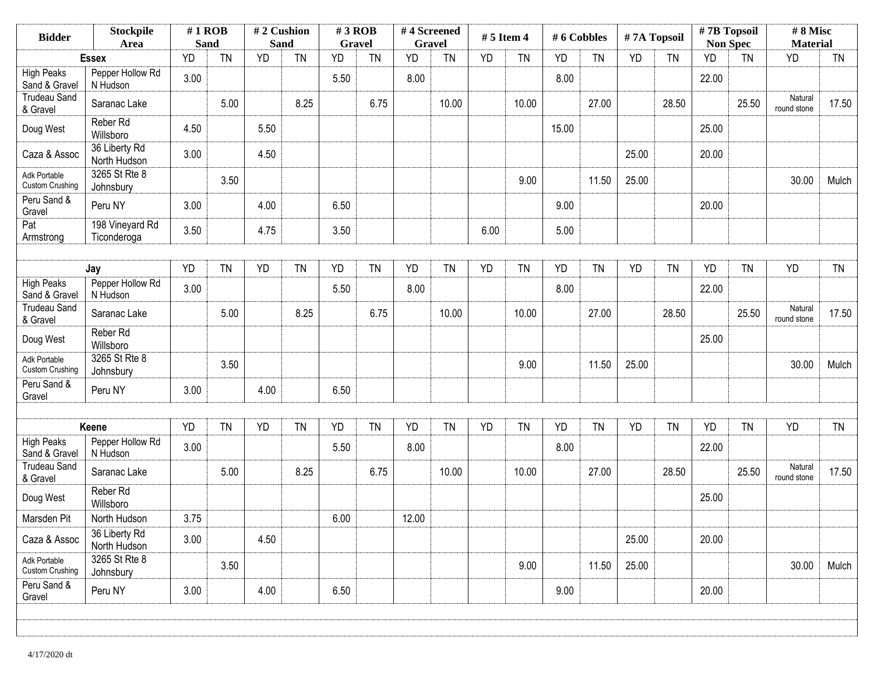| <b>Bidder</b>                          | <b>Stockpile</b><br>$#1$ ROB<br><b>Sand</b><br>Area |           | #2 Cushion<br><b>Sand</b> |           | $#3$ ROB<br><b>Gravel</b> |           | #4 Screened<br><b>Gravel</b> |           | $# 5$ Item 4 |           | #6 Cobbles |           | #7A Topsoil |           | #7B Topsoil<br><b>Non Spec</b> |           | #8 Misc<br><b>Material</b> |                        |           |
|----------------------------------------|-----------------------------------------------------|-----------|---------------------------|-----------|---------------------------|-----------|------------------------------|-----------|--------------|-----------|------------|-----------|-------------|-----------|--------------------------------|-----------|----------------------------|------------------------|-----------|
|                                        | <b>Essex</b>                                        | YD        | <b>TN</b>                 | <b>YD</b> | <b>TN</b>                 | <b>YD</b> | <b>TN</b>                    | <b>YD</b> | <b>TN</b>    | <b>YD</b> | <b>TN</b>  | <b>YD</b> | <b>TN</b>   | <b>YD</b> | <b>TN</b>                      | YD        | <b>TN</b>                  | <b>YD</b>              | <b>TN</b> |
| <b>High Peaks</b><br>Sand & Gravel     | Pepper Hollow Rd<br>N Hudson                        | 3.00      |                           |           |                           | 5.50      |                              | 8.00      |              |           |            | 8.00      |             |           |                                | 22.00     |                            |                        |           |
| <b>Trudeau Sand</b><br>& Gravel        | Saranac Lake                                        |           | 5.00                      |           | 8.25                      |           | 6.75                         |           | 10.00        |           | 10.00      |           | 27.00       |           | 28.50                          |           | 25.50                      | Natural<br>round stone | 17.50     |
| Doug West                              | Reber Rd<br>Willsboro                               | 4.50      |                           | 5.50      |                           |           |                              |           |              |           |            | 15.00     |             |           |                                | 25.00     |                            |                        |           |
| Caza & Assoc                           | 36 Liberty Rd<br>North Hudson                       | 3.00      |                           | 4.50      |                           |           |                              |           |              |           |            |           |             | 25.00     |                                | 20.00     |                            |                        |           |
| Adk Portable<br><b>Custom Crushing</b> | 3265 St Rte 8<br>Johnsbury                          |           | 3.50                      |           |                           |           |                              |           |              |           | 9.00       |           | 11.50       | 25.00     |                                |           |                            | 30.00                  | Mulch     |
| Peru Sand &<br>Gravel                  | Peru NY                                             | 3.00      |                           | 4.00      |                           | 6.50      |                              |           |              |           |            | 9.00      |             |           |                                | 20.00     |                            |                        |           |
| Pat<br>Armstrong                       | 198 Vineyard Rd<br>Ticonderoga                      | 3.50      |                           | 4.75      |                           | 3.50      |                              |           |              | 6.00      |            | 5.00      |             |           |                                |           |                            |                        |           |
|                                        | Jay                                                 | <b>YD</b> | <b>TN</b>                 | <b>YD</b> | <b>TN</b>                 | YD        | <b>TN</b>                    | <b>YD</b> | <b>TN</b>    | YD        | <b>TN</b>  | <b>YD</b> | <b>TN</b>   | <b>YD</b> | <b>TN</b>                      | <b>YD</b> | <b>TN</b>                  | <b>YD</b>              | <b>TN</b> |
| <b>High Peaks</b><br>Sand & Gravel     | Pepper Hollow Rd<br>N Hudson                        | 3.00      |                           |           |                           | 5.50      |                              | 8.00      |              |           |            | 8.00      |             |           |                                | 22.00     |                            |                        |           |
| <b>Trudeau Sand</b><br>& Gravel        | Saranac Lake                                        |           | 5.00                      |           | 8.25                      |           | 6.75                         |           | 10.00        |           | 10.00      |           | 27.00       |           | 28.50                          |           | 25.50                      | Natural<br>round stone | 17.50     |
| Doug West                              | Reber Rd<br>Willsboro                               |           |                           |           |                           |           |                              |           |              |           |            |           |             |           |                                | 25.00     |                            |                        |           |
| Adk Portable<br><b>Custom Crushing</b> | 3265 St Rte 8<br>Johnsbury                          |           | 3.50                      |           |                           |           |                              |           |              |           | 9.00       |           | 11.50       | 25.00     |                                |           |                            | 30.00                  | Mulch     |
| Peru Sand &<br>Gravel                  | Peru NY                                             | 3.00      |                           | 4.00      |                           | 6.50      |                              |           |              |           |            |           |             |           |                                |           |                            |                        |           |
|                                        |                                                     |           |                           |           |                           |           |                              |           |              |           |            |           |             |           |                                |           |                            |                        |           |
| <b>High Peaks</b>                      | Keene<br>Pepper Hollow Rd                           | <b>YD</b> | <b>TN</b>                 | <b>YD</b> | <b>TN</b>                 | YD        | <b>TN</b>                    | <b>YD</b> | <b>TN</b>    | <b>YD</b> | <b>TN</b>  | <b>YD</b> | <b>TN</b>   | <b>YD</b> | <b>TN</b>                      | <b>YD</b> | <b>TN</b>                  | YD                     | <b>TN</b> |
| Sand & Gravel                          | N Hudson                                            | 3.00      |                           |           |                           | 5.50      |                              | 8.00      |              |           |            | 8.00      |             |           |                                | 22.00     |                            |                        |           |
| Trudeau Sand<br>& Gravel               | Saranac Lake                                        |           | 5.00                      |           | 8.25                      |           | 6.75                         |           | 10.00        |           | 10.00      |           | 27.00       |           | 28.50                          |           | 25.50                      | Natural<br>round stone | 17.50     |
| Doug West                              | Reber Rd<br>Willsboro                               |           |                           |           |                           |           |                              |           |              |           |            |           |             |           |                                | 25.00     |                            |                        |           |
| Marsden Pit                            | North Hudson                                        | 3.75      |                           |           |                           | 6.00      |                              | 12.00     |              |           |            |           |             |           |                                |           |                            |                        |           |
| Caza & Assoc                           | 36 Liberty Rd<br>North Hudson                       | 3.00      |                           | 4.50      |                           |           |                              |           |              |           |            |           |             | 25.00     |                                | 20.00     |                            |                        |           |
| Adk Portable<br>Custom Crushing        | 3265 St Rte 8<br>Johnsbury                          |           | 3.50                      |           |                           |           |                              |           |              |           | 9.00       |           | 11.50       | 25.00     |                                |           |                            | 30.00                  | Mulch     |
| Peru Sand &<br>Gravel                  | Peru NY                                             | 3.00      |                           | 4.00      |                           | 6.50      |                              |           |              |           |            | 9.00      |             |           |                                | 20.00     |                            |                        |           |
|                                        |                                                     |           |                           |           |                           |           |                              |           |              |           |            |           |             |           |                                |           |                            |                        |           |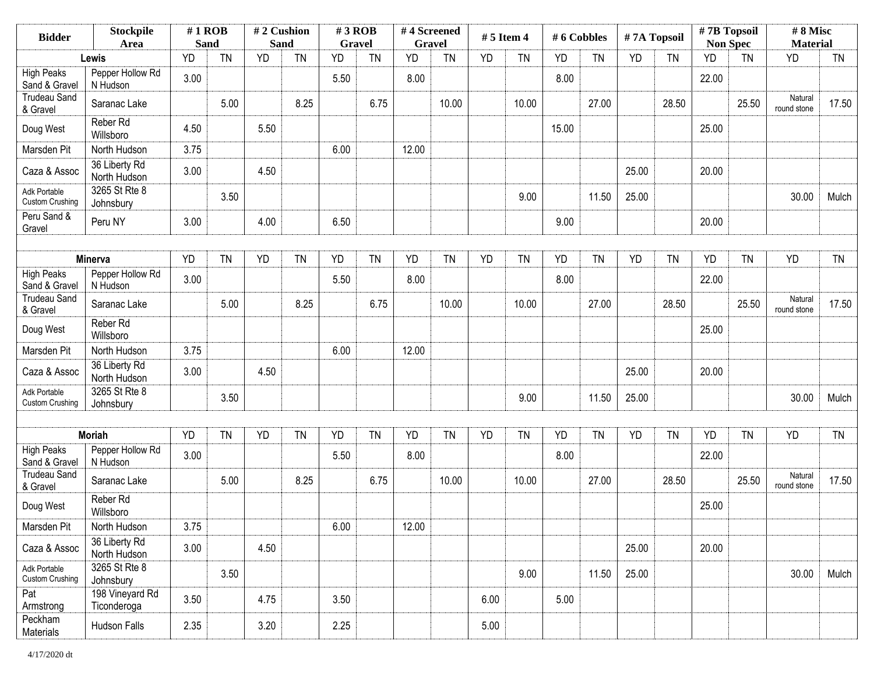| <b>Bidder</b>                          | <b>Stockpile</b><br>Area       | $#1$ ROB<br><b>Sand</b> |           | #2 Cushion<br>Sand |           | $#3$ ROB<br><b>Gravel</b> |           | #4 Screened<br><b>Gravel</b> |           | $# 5$ Item 4 |           | #6 Cobbles |           | #7A Topsoil |           | #7B Topsoil<br><b>Non Spec</b> |           | #8 Misc<br><b>Material</b> |           |
|----------------------------------------|--------------------------------|-------------------------|-----------|--------------------|-----------|---------------------------|-----------|------------------------------|-----------|--------------|-----------|------------|-----------|-------------|-----------|--------------------------------|-----------|----------------------------|-----------|
|                                        | Lewis                          | <b>YD</b>               | <b>TN</b> | <b>YD</b>          | <b>TN</b> | <b>YD</b>                 | <b>TN</b> | YD                           | <b>TN</b> | <b>YD</b>    | <b>TN</b> | YD         | <b>TN</b> | <b>YD</b>   | <b>TN</b> | <b>YD</b>                      | <b>TN</b> | <b>YD</b>                  | <b>TN</b> |
| <b>High Peaks</b><br>Sand & Gravel     | Pepper Hollow Rd<br>N Hudson   | 3.00                    |           |                    |           | 5.50                      |           | 8.00                         |           |              |           | 8.00       |           |             |           | 22.00                          |           |                            |           |
| <b>Trudeau Sand</b><br>& Gravel        | Saranac Lake                   |                         | 5.00      |                    | 8.25      |                           | 6.75      |                              | 10.00     |              | 10.00     |            | 27.00     |             | 28.50     |                                | 25.50     | Natural<br>round stone     | 17.50     |
| Doug West                              | Reber Rd<br>Willsboro          | 4.50                    |           | 5.50               |           |                           |           |                              |           |              |           | 15.00      |           |             |           | 25.00                          |           |                            |           |
| Marsden Pit                            | North Hudson                   | 3.75                    |           |                    |           | 6.00                      |           | 12.00                        |           |              |           |            |           |             |           |                                |           |                            |           |
| Caza & Assoc                           | 36 Liberty Rd<br>North Hudson  | 3.00                    |           | 4.50               |           |                           |           |                              |           |              |           |            |           | 25.00       |           | 20.00                          |           |                            |           |
| Adk Portable<br><b>Custom Crushing</b> | 3265 St Rte 8<br>Johnsbury     |                         | 3.50      |                    |           |                           |           |                              |           |              | 9.00      |            | 11.50     | 25.00       |           |                                |           | 30.00                      | Mulch     |
| Peru Sand &<br>Gravel                  | Peru NY                        | 3.00                    |           | 4.00               |           | 6.50                      |           |                              |           |              |           | 9.00       |           |             |           | 20.00                          |           |                            |           |
|                                        |                                |                         |           |                    |           |                           |           |                              |           |              |           |            |           |             |           |                                |           |                            |           |
|                                        | Minerva                        | <b>YD</b>               | <b>TN</b> | <b>YD</b>          | <b>TN</b> | <b>YD</b>                 | <b>TN</b> | <b>YD</b>                    | <b>TN</b> | <b>YD</b>    | <b>TN</b> | YD         | <b>TN</b> | <b>YD</b>   | <b>TN</b> | <b>YD</b>                      | <b>TN</b> | <b>YD</b>                  | <b>TN</b> |
| <b>High Peaks</b><br>Sand & Gravel     | Pepper Hollow Rd<br>N Hudson   | 3.00                    |           |                    |           | 5.50                      |           | 8.00                         |           |              |           | 8.00       |           |             |           | 22.00                          |           |                            |           |
| <b>Trudeau Sand</b><br>& Gravel        | Saranac Lake                   |                         | 5.00      |                    | 8.25      |                           | 6.75      |                              | 10.00     |              | 10.00     |            | 27.00     |             | 28.50     |                                | 25.50     | Natural<br>round stone     | 17.50     |
| Doug West                              | Reber Rd<br>Willsboro          |                         |           |                    |           |                           |           |                              |           |              |           |            |           |             |           | 25.00                          |           |                            |           |
| Marsden Pit                            | North Hudson                   | 3.75                    |           |                    |           | 6.00                      |           | 12.00                        |           |              |           |            |           |             |           |                                |           |                            |           |
| Caza & Assoc                           | 36 Liberty Rd<br>North Hudson  | 3.00                    |           | 4.50               |           |                           |           |                              |           |              |           |            |           | 25.00       |           | 20.00                          |           |                            |           |
| Adk Portable<br><b>Custom Crushing</b> | 3265 St Rte 8<br>Johnsbury     |                         | 3.50      |                    |           |                           |           |                              |           |              | 9.00      |            | 11.50     | 25.00       |           |                                |           | 30.00                      | Mulch     |
|                                        |                                |                         |           |                    |           |                           |           |                              |           |              |           |            |           |             |           |                                |           |                            |           |
|                                        | <b>Moriah</b>                  | <b>YD</b>               | <b>TN</b> | YD                 | <b>TN</b> | <b>YD</b>                 | <b>TN</b> | <b>YD</b>                    | <b>TN</b> | <b>YD</b>    | <b>TN</b> | <b>YD</b>  | <b>TN</b> | <b>YD</b>   | <b>TN</b> | YD                             | <b>TN</b> | <b>YD</b>                  | <b>TN</b> |
| <b>High Peaks</b><br>Sand & Gravel     | Pepper Hollow Rd<br>N Hudson   | 3.00                    |           |                    |           | 5.50                      |           | 8.00                         |           |              |           | 8.00       |           |             |           | 22.00                          |           |                            |           |
| <b>Trudeau Sand</b><br>& Gravel        | Saranac Lake                   |                         | 5.00      |                    | 8.25      |                           | 6.75      |                              | 10.00     |              | 10.00     |            | 27.00     |             | 28.50     |                                | 25.50     | Natural<br>round stone     | 17.50     |
| Doug West                              | Reber Rd<br>Willsboro          |                         |           |                    |           |                           |           |                              |           |              |           |            |           |             |           | 25.00                          |           |                            |           |
| Marsden Pit                            | North Hudson                   | 3.75                    |           |                    |           | 6.00                      |           | 12.00                        |           |              |           |            |           |             |           |                                |           |                            |           |
| Caza & Assoc                           | 36 Liberty Rd<br>North Hudson  | 3.00                    |           | 4.50               |           |                           |           |                              |           |              |           |            |           | 25.00       |           | 20.00                          |           |                            |           |
| Adk Portable<br><b>Custom Crushing</b> | 3265 St Rte 8<br>Johnsbury     |                         | 3.50      |                    |           |                           |           |                              |           |              | 9.00      |            | 11.50     | 25.00       |           |                                |           | 30.00                      | Mulch     |
| Pat<br>Armstrong                       | 198 Vineyard Rd<br>Ticonderoga | 3.50                    |           | 4.75               |           | 3.50                      |           |                              |           | 6.00         |           | 5.00       |           |             |           |                                |           |                            |           |
| Peckham<br>Materials                   | Hudson Falls                   | 2.35                    |           | 3.20               |           | 2.25                      |           |                              |           | 5.00         |           |            |           |             |           |                                |           |                            |           |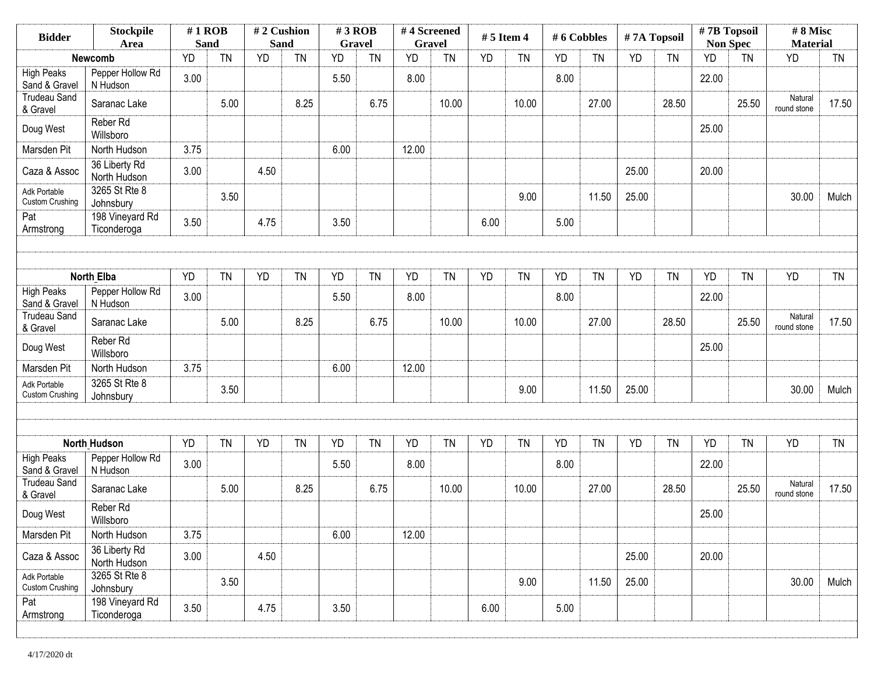| <b>Stockpile</b><br><b>Bidder</b><br>Area |                                  | $#1$ ROB<br><b>Sand</b> |           | #2 Cushion<br><b>Sand</b> |           | $#3$ ROB<br><b>Gravel</b> |           | #4 Screened<br><b>Gravel</b> |           | $# 5$ Item 4 |           | #6 Cobbles |           | #7A Topsoil |           | #7B Topsoil<br><b>Non Spec</b> |           | #8 Misc<br><b>Material</b> |           |
|-------------------------------------------|----------------------------------|-------------------------|-----------|---------------------------|-----------|---------------------------|-----------|------------------------------|-----------|--------------|-----------|------------|-----------|-------------|-----------|--------------------------------|-----------|----------------------------|-----------|
|                                           | <b>Newcomb</b>                   | <b>YD</b>               | <b>TN</b> | <b>YD</b>                 | <b>TN</b> | <b>YD</b>                 | <b>TN</b> | YD                           | <b>TN</b> | <b>YD</b>    | <b>TN</b> | YD         | <b>TN</b> | <b>YD</b>   | <b>TN</b> | <b>YD</b>                      | <b>TN</b> | <b>YD</b>                  | <b>TN</b> |
| <b>High Peaks</b><br>Sand & Gravel        | Pepper Hollow Rd<br>N Hudson     | 3.00                    |           |                           |           | 5.50                      |           | 8.00                         |           |              |           | 8.00       |           |             |           | 22.00                          |           |                            |           |
| <b>Trudeau Sand</b><br>& Gravel           | Saranac Lake                     |                         | 5.00      |                           | 8.25      |                           | 6.75      |                              | 10.00     |              | 10.00     |            | 27.00     |             | 28.50     |                                | 25.50     | Natural<br>round stone     | 17.50     |
| Doug West                                 | Reber Rd<br>Willsboro            |                         |           |                           |           |                           |           |                              |           |              |           |            |           |             |           | 25.00                          |           |                            |           |
| Marsden Pit                               | North Hudson                     | 3.75                    |           |                           |           | 6.00                      |           | 12.00                        |           |              |           |            |           |             |           |                                |           |                            |           |
| Caza & Assoc                              | 36 Liberty Rd<br>North Hudson    | 3.00                    |           | 4.50                      |           |                           |           |                              |           |              |           |            |           | 25.00       |           | 20.00                          |           |                            |           |
| Adk Portable<br><b>Custom Crushing</b>    | 3265 St Rte 8<br>Johnsbury       |                         | 3.50      |                           |           |                           |           |                              |           |              | 9.00      |            | 11.50     | 25.00       |           |                                |           | 30.00                      | Mulch     |
| Pat<br>Armstrong                          | 198 Vineyard Rd<br>Ticonderoga   | 3.50                    |           | 4.75                      |           | 3.50                      |           |                              |           | 6.00         |           | 5.00       |           |             |           |                                |           |                            |           |
|                                           |                                  |                         |           |                           |           |                           |           |                              |           |              |           |            |           |             |           |                                |           |                            |           |
|                                           | <b>North Elba</b>                | <b>YD</b>               | <b>TN</b> | YD                        | <b>TN</b> | <b>YD</b>                 | <b>TN</b> | <b>YD</b>                    | <b>TN</b> | <b>YD</b>    | <b>TN</b> | <b>YD</b>  | <b>TN</b> | <b>YD</b>   | <b>TN</b> | YD                             | <b>TN</b> | <b>YD</b>                  | <b>TN</b> |
| <b>High Peaks</b><br>Sand & Gravel        | Pepper Hollow Rd<br>N Hudson     | 3.00                    |           |                           |           | 5.50                      |           | 8.00                         |           |              |           | 8.00       |           |             |           | 22.00                          |           |                            |           |
| <b>Trudeau Sand</b><br>& Gravel           | Saranac Lake                     |                         | 5.00      |                           | 8.25      |                           | 6.75      |                              | 10.00     |              | 10.00     |            | 27.00     |             | 28.50     |                                | 25.50     | Natural<br>round stone     | 17.50     |
| Doug West                                 | Reber Rd<br>Willsboro            |                         |           |                           |           |                           |           |                              |           |              |           |            |           |             |           | 25.00                          |           |                            |           |
| Marsden Pit                               | North Hudson                     | 3.75                    |           |                           |           | 6.00                      |           | 12.00                        |           |              |           |            |           |             |           |                                |           |                            |           |
| Adk Portable<br><b>Custom Crushing</b>    | 3265 St Rte 8<br>Johnsbury       |                         | 3.50      |                           |           |                           |           |                              |           |              | 9.00      |            | 11.50     | 25.00       |           |                                |           | 30.00                      | Mulch     |
|                                           |                                  |                         |           |                           |           |                           |           |                              |           |              |           |            |           |             |           |                                |           |                            |           |
|                                           | <b>North Hudson</b>              | <b>YD</b>               | <b>TN</b> | <b>YD</b>                 | <b>TN</b> | <b>YD</b>                 | <b>TN</b> | <b>YD</b>                    | <b>TN</b> | <b>YD</b>    | <b>TN</b> | YD         | <b>TN</b> | <b>YD</b>   | <b>TN</b> | <b>YD</b>                      | <b>TN</b> | <b>YD</b>                  | <b>TN</b> |
| <b>High Peaks</b><br>Sand & Gravel        | Pepper Hollow Rd<br>N Hudson     | 3.00                    |           |                           |           | 5.50                      |           | 8.00                         |           |              |           | 8.00       |           |             |           | 22.00                          |           |                            |           |
| <b>Trudeau Sand</b><br>& Gravel           | Saranac Lake                     |                         | 5.00      |                           | 8.25      |                           | 6.75      |                              | 10.00     |              | 10.00     |            | 27.00     |             | 28.50     |                                | 25.50     | Natural<br>round stone     | 17.50     |
| Doug West                                 | Reber <sub>Rd</sub><br>Willsboro |                         |           |                           |           |                           |           |                              |           |              |           |            |           |             |           | 25.00                          |           |                            |           |
| Marsden Pit                               | North Hudson                     | 3.75                    |           |                           |           | 6.00                      |           | 12.00                        |           |              |           |            |           |             |           |                                |           |                            |           |
| Caza & Assoc                              | 36 Liberty Rd<br>North Hudson    | 3.00                    |           | 4.50                      |           |                           |           |                              |           |              |           |            |           | 25.00       |           | 20.00                          |           |                            |           |
| Adk Portable<br>Custom Crushing           | 3265 St Rte 8<br>Johnsbury       |                         | 3.50      |                           |           |                           |           |                              |           |              | 9.00      |            | 11.50     | 25.00       |           |                                |           | 30.00                      | Mulch     |
| Pat<br>Armstrong                          | 198 Vineyard Rd<br>Ticonderoga   | 3.50                    |           | 4.75                      |           | 3.50                      |           |                              |           | 6.00         |           | 5.00       |           |             |           |                                |           |                            |           |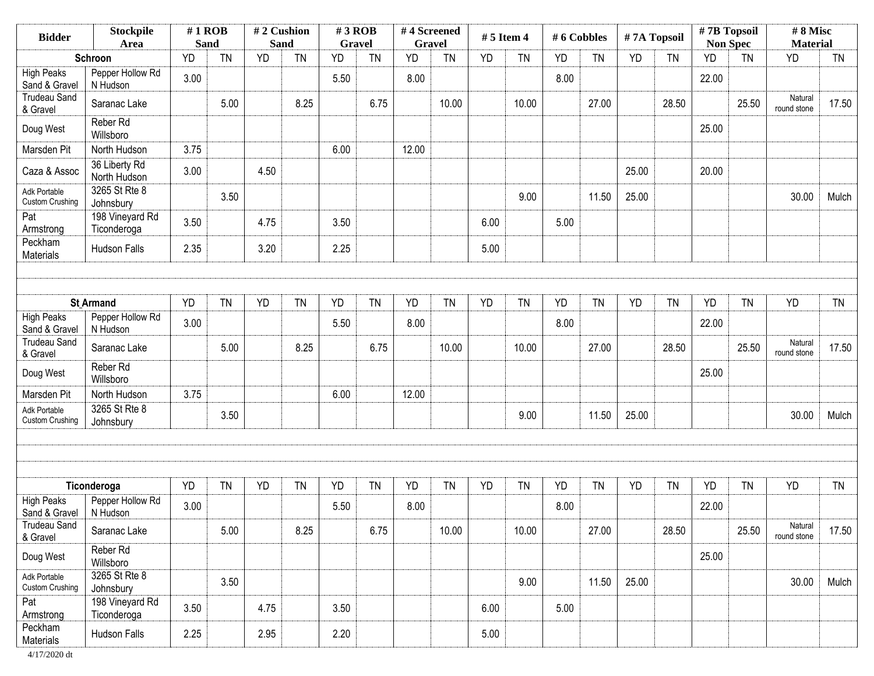| <b>Bidder</b>                          | <b>Stockpile</b><br>Area       | $#1$ ROB<br><b>Sand</b> |           | #2 Cushion<br><b>Sand</b> |           | $#3$ ROB<br><b>Gravel</b> |           | #4 Screened | <b>Gravel</b> | $# 5$ Item 4 |           | #6 Cobbles |           | #7A Topsoil |           | #7B Topsoil<br><b>Non Spec</b> |           | #8 Misc<br><b>Material</b> |           |
|----------------------------------------|--------------------------------|-------------------------|-----------|---------------------------|-----------|---------------------------|-----------|-------------|---------------|--------------|-----------|------------|-----------|-------------|-----------|--------------------------------|-----------|----------------------------|-----------|
|                                        | Schroon                        | <b>YD</b>               | <b>TN</b> | <b>YD</b>                 | <b>TN</b> | <b>YD</b>                 | <b>TN</b> | <b>YD</b>   | <b>TN</b>     | <b>YD</b>    | <b>TN</b> | YD         | <b>TN</b> | <b>YD</b>   | <b>TN</b> | <b>YD</b>                      | <b>TN</b> | <b>YD</b>                  | <b>TN</b> |
| <b>High Peaks</b><br>Sand & Gravel     | Pepper Hollow Rd<br>N Hudson   | 3.00                    |           |                           |           | 5.50                      |           | 8.00        |               |              |           | 8.00       |           |             |           | 22.00                          |           |                            |           |
| <b>Trudeau Sand</b><br>& Gravel        | Saranac Lake                   |                         | 5.00      |                           | 8.25      |                           | 6.75      |             | 10.00         |              | 10.00     |            | 27.00     |             | 28.50     |                                | 25.50     | Natural<br>round stone     | 17.50     |
| Doug West                              | Reber Rd<br>Willsboro          |                         |           |                           |           |                           |           |             |               |              |           |            |           |             |           | 25.00                          |           |                            |           |
| Marsden Pit                            | North Hudson                   | 3.75                    |           |                           |           | 6.00                      |           | 12.00       |               |              |           |            |           |             |           |                                |           |                            |           |
| Caza & Assoc                           | 36 Liberty Rd<br>North Hudson  | 3.00                    |           | 4.50                      |           |                           |           |             |               |              |           |            |           | 25.00       |           | 20.00                          |           |                            |           |
| Adk Portable<br><b>Custom Crushing</b> | 3265 St Rte 8<br>Johnsbury     |                         | 3.50      |                           |           |                           |           |             |               |              | 9.00      |            | 11.50     | 25.00       |           |                                |           | 30.00                      | Mulch     |
| Pat<br>Armstrong                       | 198 Vineyard Rd<br>Ticonderoga | 3.50                    |           | 4.75                      |           | 3.50                      |           |             |               | 6.00         |           | 5.00       |           |             |           |                                |           |                            |           |
| Peckham<br>Materials                   | Hudson Falls                   | 2.35                    |           | 3.20                      |           | 2.25                      |           |             |               | 5.00         |           |            |           |             |           |                                |           |                            |           |
|                                        |                                |                         |           |                           |           |                           |           |             |               |              |           |            |           |             |           |                                |           |                            |           |
|                                        | <b>St Armand</b>               | <b>YD</b>               | <b>TN</b> | YD                        | <b>TN</b> | <b>YD</b>                 | <b>TN</b> | <b>YD</b>   | <b>TN</b>     | <b>YD</b>    | <b>TN</b> | YD         | <b>TN</b> | <b>YD</b>   | <b>TN</b> | YD                             | <b>TN</b> | <b>YD</b>                  | <b>TN</b> |
| <b>High Peaks</b><br>Sand & Gravel     | Pepper Hollow Rd<br>N Hudson   | 3.00                    |           |                           |           | 5.50                      |           | 8.00        |               |              |           | 8.00       |           |             |           | 22.00                          |           |                            |           |
| <b>Trudeau Sand</b><br>& Gravel        | Saranac Lake                   |                         | 5.00      |                           | 8.25      |                           | 6.75      |             | 10.00         |              | 10.00     |            | 27.00     |             | 28.50     |                                | 25.50     | Natural<br>round stone     | 17.50     |
| Doug West                              | Reber Rd<br>Willsboro          |                         |           |                           |           |                           |           |             |               |              |           |            |           |             |           | 25.00                          |           |                            |           |
| Marsden Pit                            | North Hudson                   | 3.75                    |           |                           |           | 6.00                      |           | 12.00       |               |              |           |            |           |             |           |                                |           |                            |           |
| Adk Portable<br><b>Custom Crushing</b> | 3265 St Rte 8<br>Johnsbury     |                         | 3.50      |                           |           |                           |           |             |               |              | 9.00      |            | 11.50     | 25.00       |           |                                |           | 30.00                      | Mulch     |
|                                        |                                |                         |           |                           |           |                           |           |             |               |              |           |            |           |             |           |                                |           |                            |           |
|                                        |                                |                         |           |                           |           |                           |           |             |               |              |           |            |           |             |           |                                |           |                            |           |
|                                        | Ticonderoga                    | <b>YD</b>               | <b>TN</b> | YD                        | <b>TN</b> | <b>YD</b>                 | <b>TN</b> | <b>YD</b>   | <b>TN</b>     | <b>YD</b>    | <b>TN</b> | <b>YD</b>  | <b>TN</b> | <b>YD</b>   | <b>TN</b> | YD                             | <b>TN</b> | <b>YD</b>                  | <b>TN</b> |
| <b>High Peaks</b><br>Sand & Gravel     | Pepper Hollow Rd<br>N Hudson   | 3.00                    |           |                           |           | 5.50                      |           | 8.00        |               |              |           | 8.00       |           |             |           | 22.00                          |           |                            |           |
| <b>Trudeau Sand</b><br>& Gravel        | Saranac Lake                   |                         | 5.00      |                           | 8.25      |                           | 6.75      |             | 10.00         |              | 10.00     |            | 27.00     |             | 28.50     |                                | 25.50     | Natural<br>round stone     | 17.50     |
| Doug West                              | Reber Rd<br>Willsboro          |                         |           |                           |           |                           |           |             |               |              |           |            |           |             |           | 25.00                          |           |                            |           |
| Adk Portable<br><b>Custom Crushing</b> | 3265 St Rte 8<br>Johnsbury     |                         | 3.50      |                           |           |                           |           |             |               |              | 9.00      |            | 11.50     | 25.00       |           |                                |           | 30.00                      | Mulch     |
| Pat<br>Armstrong                       | 198 Vineyard Rd<br>Ticonderoga | 3.50                    |           | 4.75                      |           | 3.50                      |           |             |               | 6.00         |           | 5.00       |           |             |           |                                |           |                            |           |
| Peckham<br>Materials                   | Hudson Falls                   | 2.25                    |           | 2.95                      |           | 2.20                      |           |             |               | 5.00         |           |            |           |             |           |                                |           |                            |           |

4/17/2020 dt